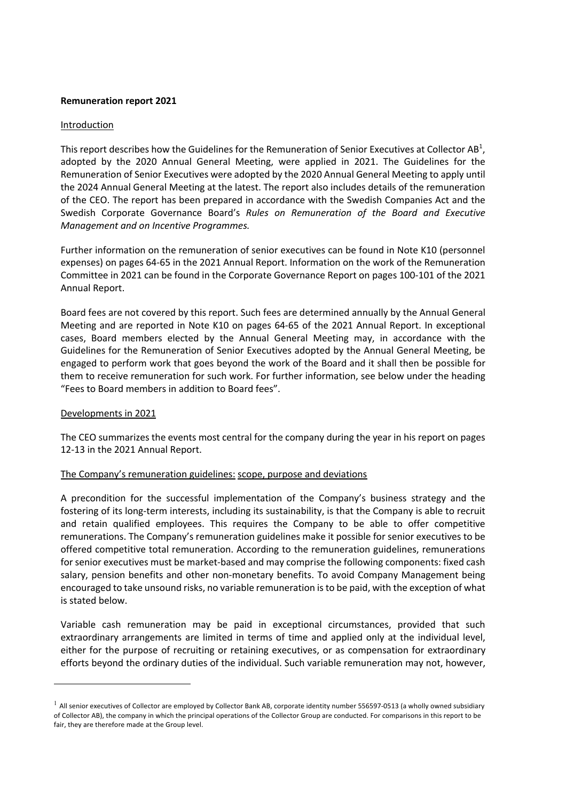## **Remuneration report 2021**

### Introduction

This report describes how the Guidelines for the Remuneration of Senior Executives at Collector AB<sup>1</sup>, adopted by the 2020 Annual General Meeting, were applied in 2021. The Guidelines for the Remuneration of Senior Executives were adopted by the 2020 Annual General Meeting to apply until the 2024 Annual General Meeting at the latest. The report also includes details of the remuneration of the CEO. The report has been prepared in accordance with the Swedish Companies Act and the Swedish Corporate Governance Board's *Rules on Remuneration of the Board and Executive Management and on Incentive Programmes.*

Further information on the remuneration of senior executives can be found in Note K10 (personnel expenses) on pages 64-65 in the 2021 Annual Report. Information on the work of the Remuneration Committee in 2021 can be found in the Corporate Governance Report on pages 100-101 of the 2021 Annual Report.

Board fees are not covered by this report. Such fees are determined annually by the Annual General Meeting and are reported in Note K10 on pages 64-65 of the 2021 Annual Report. In exceptional cases, Board members elected by the Annual General Meeting may, in accordance with the Guidelines for the Remuneration of Senior Executives adopted by the Annual General Meeting, be engaged to perform work that goes beyond the work of the Board and it shall then be possible for them to receive remuneration for such work. For further information, see below under the heading "Fees to Board members in addition to Board fees".

# Developments in 2021

The CEO summarizes the events most central for the company during the year in his report on pages 12-13 in the 2021 Annual Report.

# The Company's remuneration guidelines: scope, purpose and deviations

A precondition for the successful implementation of the Company's business strategy and the fostering of its long-term interests, including its sustainability, is that the Company is able to recruit and retain qualified employees. This requires the Company to be able to offer competitive remunerations. The Company's remuneration guidelines make it possible for senior executives to be offered competitive total remuneration. According to the remuneration guidelines, remunerations for senior executives must be market-based and may comprise the following components: fixed cash salary, pension benefits and other non-monetary benefits. To avoid Company Management being encouraged to take unsound risks, no variable remuneration is to be paid, with the exception of what is stated below.

Variable cash remuneration may be paid in exceptional circumstances, provided that such extraordinary arrangements are limited in terms of time and applied only at the individual level, either for the purpose of recruiting or retaining executives, or as compensation for extraordinary efforts beyond the ordinary duties of the individual. Such variable remuneration may not, however,

 $<sup>1</sup>$  All senior executives of Collector are employed by Collector Bank AB, corporate identity number 556597-0513 (a wholly owned subsidiary</sup> of Collector AB), the company in which the principal operations of the Collector Group are conducted. For comparisons in this report to be fair, they are therefore made at the Group level.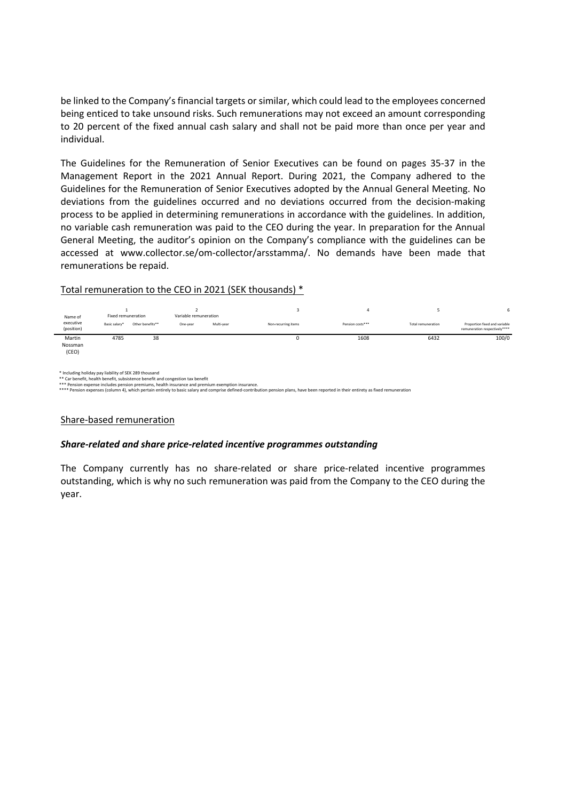be linked to the Company's financial targets or similar, which could lead to the employees concerned being enticed to take unsound risks. Such remunerations may not exceed an amount corresponding to 20 percent of the fixed annual cash salary and shall not be paid more than once per year and individual.

The Guidelines for the Remuneration of Senior Executives can be found on pages 35-37 in the Management Report in the 2021 Annual Report. During 2021, the Company adhered to the Guidelines for the Remuneration of Senior Executives adopted by the Annual General Meeting. No deviations from the guidelines occurred and no deviations occurred from the decision-making process to be applied in determining remunerations in accordance with the guidelines. In addition, no variable cash remuneration was paid to the CEO during the year. In preparation for the Annual General Meeting, the auditor's opinion on the Company's compliance with the guidelines can be accessed at www.collector.se/om-collector/arsstamma/. No demands have been made that remunerations be repaid.

#### Total remuneration to the CEO in 2021 (SEK thousands) \*

| Name of<br>executive<br>(position) | Fixed remuneration |                  | Variable remuneration |            |                     |                  |                    | <b>b</b>                                                       |
|------------------------------------|--------------------|------------------|-----------------------|------------|---------------------|------------------|--------------------|----------------------------------------------------------------|
|                                    | Basic salary*      | Other benefits** | One-year              | Multi-year | Non-recurring items | Pension costs*** | Total remuneration | Proportion fixed and variable<br>remuneration respectively**** |
| Martin<br>Nossman<br>(CEO)         | 4785               | 38               |                       |            | U                   | 1608             | 6432               | 100/0                                                          |

\* Including holiday pay liability of SEK 289 thousand<br>\*\* Car benefit, heath benefit, subsistence benefit and congestion tax benefit<br>\*\*\* Pension expense includes pension premiums, health insurance and premium exemption insu

#### Share-based remuneration

#### *Share-related and share price-related incentive programmes outstanding*

The Company currently has no share-related or share price-related incentive programmes outstanding, which is why no such remuneration was paid from the Company to the CEO during the year.